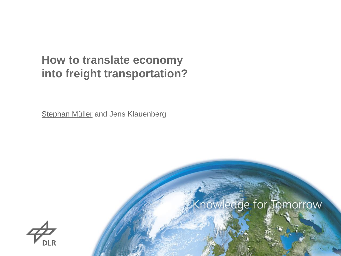## **How to translate economy into freight transportation?**

**Stephan Müller and Jens Klauenberg** 



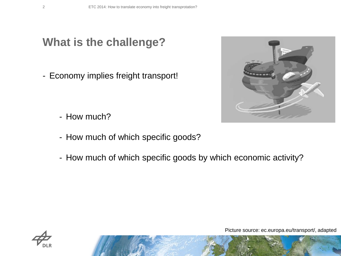**What is the challenge?**

- Economy implies freight transport!



- How much?
- How much of which specific goods?
- How much of which specific goods by which economic activity?



Picture source: ec.europa.eu/transport/, adapted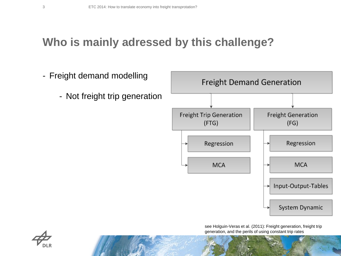### **Who is mainly adressed by this challenge?**



see Holguin-Veras et al. (2011): Freight generation, freight trip generation, and the perils of using constant trip rates

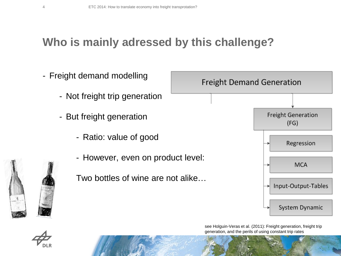## **Who is mainly adressed by this challenge?**



see Holguin-Veras et al. (2011): Freight generation, freight trip generation, and the perils of using constant trip rates

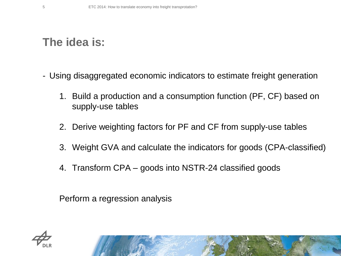## **The idea is:**

- Using disaggregated economic indicators to estimate freight generation
	- 1. Build a production and a consumption function (PF, CF) based on supply-use tables
	- 2. Derive weighting factors for PF and CF from supply-use tables
	- 3. Weight GVA and calculate the indicators for goods (CPA-classified)
	- 4. Transform CPA goods into NSTR-24 classified goods

Perform a regression analysis

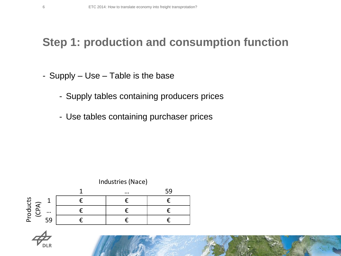## **Step 1: production and consumption function**

- Supply Use Table is the base
	- Supply tables containing producers prices
	- Use tables containing purchaser prices



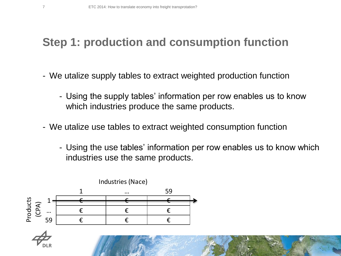## **Step 1: production and consumption function**

- We utalize supply tables to extract weighted production function
	- Using the supply tables' information per row enables us to know which industries produce the same products.
- We utalize use tables to extract weighted consumption function
	- Using the use tables' information per row enables us to know which industries use the same products.



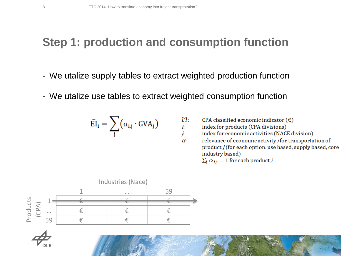#### **Step 1: production and consumption function**

- We utalize supply tables to extract weighted production function
- We utalize use tables to extract weighted consumption function

$$
\widehat{\text{EI}}_i = \sum_j (\alpha_{i,j} \cdot \text{GVA}_j)
$$

$$
\widehat{EI}: \qquad \text{CPA classified economic indicator} \, (\text{\textsterling})
$$

İ. index for products (CPA divisions)

j. index for economic activities (NACE division)

relevance of economic activity *j* for transportation of  $\alpha$ product *i* (for each option: use based, supply based, core industry based)

 $\sum_i \alpha_{i,i} = 1$  for each product *i* 



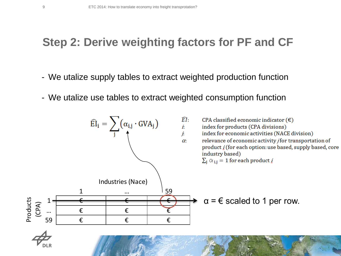### **Step 2: Derive weighting factors for PF and CF**

- We utalize supply tables to extract weighted production function
- We utalize use tables to extract weighted consumption function

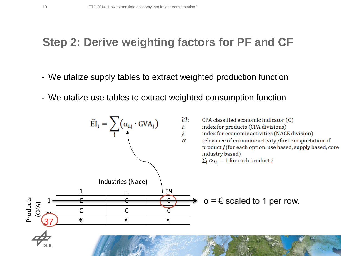### **Step 2: Derive weighting factors for PF and CF**

- We utalize supply tables to extract weighted production function
- We utalize use tables to extract weighted consumption function

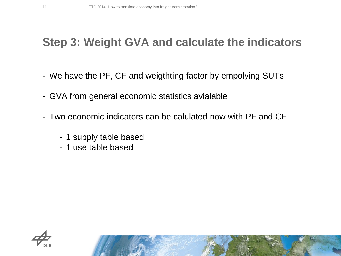### **Step 3: Weight GVA and calculate the indicators**

- We have the PF, CF and weigthting factor by empolying SUTs
- GVA from general economic statistics avialable
- Two economic indicators can be calulated now with PF and CF
	- 1 supply table based
	- 1 use table based

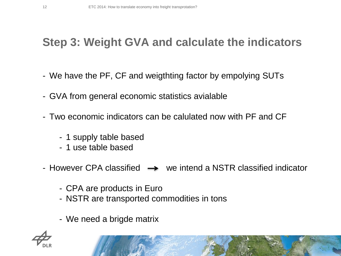## **Step 3: Weight GVA and calculate the indicators**

- We have the PF, CF and weigthting factor by empolying SUTs
- GVA from general economic statistics avialable
- Two economic indicators can be calulated now with PF and CF
	- 1 supply table based
	- 1 use table based
- However CPA classified  $\rightarrow$  we intend a NSTR classified indicator
	- CPA are products in Euro
	- NSTR are transported commodities in tons
	- We need a brigde matrix

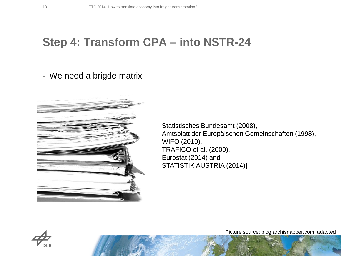#### **Step 4: Transform CPA – into NSTR-24**

#### - We need a brigde matrix



Statistisches Bundesamt (2008), Amtsblatt der Europäischen Gemeinschaften (1998), WIFO (2010), TRAFICO et al. (2009), Eurostat (2014) and STATISTIK AUSTRIA (2014)]



Picture source: blog.archisnapper.com, adapted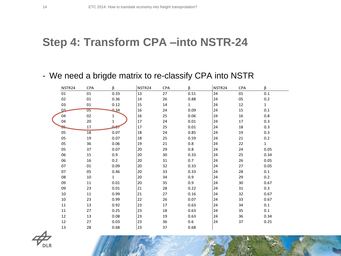#### **Step 4: Transform CPA –into NSTR-24**

#### - We need a brigde matrix to re-classify CPA into NSTR

|  | NSTR <sub>24</sub> | <b>CPA</b> | β                  | NSTR24 | <b>CPA</b> | β            | NSTR <sub>24</sub> | <b>CPA</b> | β            |
|--|--------------------|------------|--------------------|--------|------------|--------------|--------------------|------------|--------------|
|  | 01                 | 01         | 0.33               | 13     | 27         | 0.51         | 24                 | 01         | 0.1          |
|  | $02\,$             | 01         | 0.36               | 14     | 26         | 0.88         | 24                 | 05         | $0.2\,$      |
|  | 03                 | 01         | 0.12               | 15     | 14         | $\mathbf{1}$ | 24                 | 12         | $\mathbf{1}$ |
|  | 0 <sup>2</sup>     | 05         | 0.34               | 16     | 24         | 0.09         | 24                 | 15         | $0.1\,$      |
|  | 04                 | 02         | $\mathbf 1$        | 16     | 25         | 0.06         | 24                 | 16         | 0.8          |
|  | 04                 | 20         | $\mathbf{1}$       | 17     | 24         | 0.01         | 24                 | 17         | 0.3          |
|  | 65.                | 17         | $\Omega_{\rm eff}$ | 17     | 25         | 0.01         | 24                 | 18         | 0.3          |
|  | 05                 | 18         | 0.07               | 18     | 24         | 0.85         | 24                 | 19         | 0.3          |
|  | 05                 | 19         | 0.07               | 18     | 25         | 0.59         | 24                 | 21         | 0.2          |
|  | 05                 | 36         | 0.06               | 19     | 21         | 0.8          | 24                 | 22         | $\mathbf{1}$ |
|  | 05                 | 37         | 0.07               | 20     | 29         | $0.8\,$      | 24                 | 24         | 0.05         |
|  | 06                 | 15         | 0.9                | 20     | 30         | 0.33         | 24                 | 25         | 0.34         |
|  | 06                 | 16         | 0.2                | 20     | 31         | 0.7          | 24                 | 26         | 0.05         |
|  | 07                 | 01         | 0.09               | 20     | 32         | 0.33         | 24                 | 27         | 0.05         |
|  | 07                 | 05         | 0.46               | 20     | 33         | 0.33         | 24                 | 28         | 0.1          |
|  | 08                 | 10         | $\mathbf{1}$       | 20     | 34         | 0.9          | 24                 | 29         | 0.2          |
|  | 09                 | 11         | 0.01               | 20     | 35         | 0.9          | 24                 | 30         | 0.67         |
|  | 09                 | 23         | 0.01               | 21     | 28         | 0.22         | 24                 | 31         | 0.3          |
|  | 10                 | 11         | 0.99               | 21     | 27         | 0.16         | 24                 | 32         | 0.67         |
|  | 10                 | 23         | 0.99               | 22     | 26         | 0.07         | 24                 | 33         | 0.67         |
|  | 11                 | 13         | 0.92               | 23     | 17         | 0.63         | 24                 | 34         | 0.1          |
|  | 11                 | 27         | 0.25               | 23     | 18         | 0.63         | 24                 | 35         | 0.1          |
|  | 12                 | 13         | 0.08               | 23     | 19         | 0.63         | 24                 | 36         | 0.34         |
|  | 12                 | 27         | 0.03               | 23     | 36         | 0.6          | 24                 | 37         | 0.25         |
|  | 13                 | 28         | 0.68               | 23     | 37         | 0.68         |                    |            |              |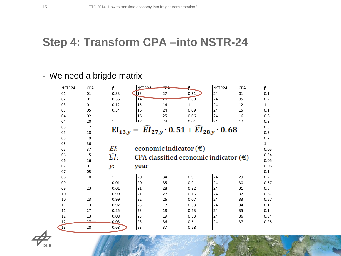## **Step 4: Transform CPA –into NSTR-24**

#### - We need a brigde matrix

| NSTR <sub>24</sub> | <b>CPA</b> | β                | NSTR <sub>24</sub>                                                                 | CPA | ₽           | NSTR <sub>24</sub> | <b>CPA</b> | β            |  |
|--------------------|------------|------------------|------------------------------------------------------------------------------------|-----|-------------|--------------------|------------|--------------|--|
| 01                 | 01         | 0.33             | <b>13</b>                                                                          | 27  | 0.51        | 24                 | 01         | 0.1          |  |
| 02                 | 01         | 0.36             | 14                                                                                 | 20  | 0.88        | 24                 | 05         | 0.2          |  |
| 03                 | 01         | 0.12             | 15                                                                                 | 14  | $\mathbf 1$ | 24                 | 12         | $\mathbf{1}$ |  |
| 03                 | 05         | 0.34             | 16                                                                                 | 24  | 0.09        | 24                 | 15         | 0.1          |  |
| 04                 | 02         | $\mathbf 1$      | 16                                                                                 | 25  | 0.06        | 24                 | 16         | 0.8          |  |
| 04                 | 20         | 1                | 17                                                                                 | 24  | 0.01        | 74                 | 17         | 0.3          |  |
| 05                 | 17         |                  |                                                                                    |     |             |                    |            | 0.3          |  |
| 05                 | 18         |                  | $\widehat{EI}_{27,y} \cdot 0.51 + \widehat{EI}_{28,y} \cdot 0.68$<br>$EI_{13,y} =$ |     |             |                    |            |              |  |
| 05                 | 19         |                  |                                                                                    |     |             |                    |            | 0.2          |  |
| 05                 | 36         |                  |                                                                                    |     |             |                    |            | $\mathbf{1}$ |  |
| 05                 | 37         | EI:              | economic indicator $(\epsilon)$                                                    |     |             |                    |            |              |  |
| 06                 | 15         | $\widehat{EI}$ : |                                                                                    |     |             |                    |            |              |  |
| 06                 | 16         |                  | CPA classified economic indicator $(\epsilon)$                                     |     |             |                    |            |              |  |
| 07                 | 01         | у.               | year                                                                               |     |             |                    |            | 0.05         |  |
| 07                 | 05         |                  |                                                                                    |     |             |                    |            | 0.1          |  |
| 08                 | 10         | $\mathbf{1}$     | 20                                                                                 | 34  | 0.9         | 24                 | 29         | 0.2          |  |
| 09                 | 11         | 0.01             | 20                                                                                 | 35  | 0.9         | 24                 | 30         | 0.67         |  |
| 09                 | 23         | 0.01             | 21                                                                                 | 28  | 0.22        | 24                 | 31         | 0.3          |  |
| 10                 | 11         | 0.99             | 21                                                                                 | 27  | 0.16        | 24                 | 32         | 0.67         |  |
| 10                 | 23         | 0.99             | 22                                                                                 | 26  | 0.07        | 24                 | 33         | 0.67         |  |
| 11                 | 13         | 0.92             | 23                                                                                 | 17  | 0.63        | 24                 | 34         | 0.1          |  |
| 11                 | 27         | 0.25             | 23                                                                                 | 18  | 0.63        | 24                 | 35         | 0.1          |  |
| 12                 | 13         | 0.08             | 23                                                                                 | 19  | 0.63        | 24                 | 36         | 0.34         |  |
| 12                 | 27         | 0.03             | 23                                                                                 | 36  | 0.6         | 24                 | 37         | 0.25         |  |
| 13                 | 28         | 0.68             | 23                                                                                 | 37  | 0.68        |                    |            |              |  |

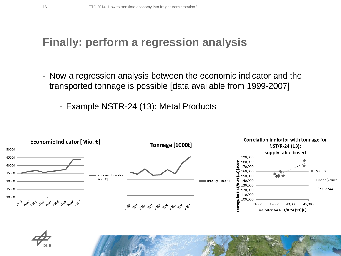## **Finally: perform a regression analysis**

- Now a regression analysis between the economic indicator and the transported tonnage is possible [data available from 1999-2007]
	- Example NSTR-24 (13): Metal Products

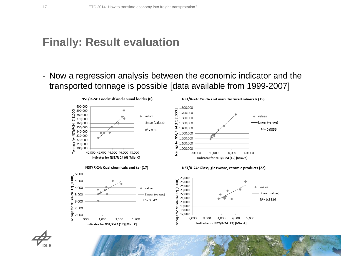### **Finally: Result evaluation**

- Now a regression analysis between the economic indicator and the transported tonnage is possible [data available from 1999-2007]

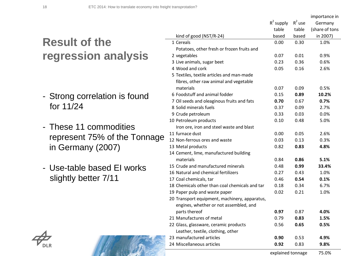# **Result of the regression analysis**

- Strong correlation is found for 11/24
- These 11 commodities represent 75% of the Tonnage in Germany (2007)
- Use-table based EI works slightly better 7/11

| R |
|---|

|                                                | $R^2$ supply      | $R^2$ use | Germany        |
|------------------------------------------------|-------------------|-----------|----------------|
|                                                | table             | table     | (share of tons |
| kind of good (NST/R-24)                        | based             | based     | in 2007)       |
| 1 Cereals                                      | 0.00              | 0.30      | 1.0%           |
| Potatoes, other fresh or frozen fruits and     |                   |           |                |
| 2 vegetables                                   | 0.07              | 0.01      | 0.9%           |
| 3 Live animals, sugar beet                     | 0.23              | 0.36      | 0.6%           |
| 4 Wood and cork                                | 0.05              | 0.16      | 2.6%           |
| 5 Textiles, textile articles and man-made      |                   |           |                |
| fibres, other raw animal and vegetable         |                   |           |                |
| materials                                      | 0.07              | 0.09      | 0.5%           |
| 6 Foodstuff and animal fodder                  | 0.15              | 0.89      | 10.2%          |
| 7 Oil seeds and oleaginous fruits and fats     | 0.70              | 0.67      | 0.7%           |
| 8 Solid minerals fuels                         | 0.37              | 0.09      | 2.7%           |
| 9 Crude petroleum                              | 0.33              | 0.03      | 0.0%           |
| 10 Petroleum products                          | 0.10              | 0.48      | 5.0%           |
| Iron ore, iron and steel waste and blast       |                   |           |                |
| 11 furnace dust                                | 0.00              | 0.05      | 2.6%           |
| 12 Non-ferrous ores and waste                  | 0.03              | 0.13      | 0.3%           |
| 13 Metal products                              | 0.82              | 0.83      | 4.8%           |
| 14 Cement, lime, manufactured building         |                   |           |                |
| materials                                      | 0.84              | 0.86      | 5.1%           |
| 15 Crude and manufactured minerals             | 0.48              | 0.99      | 33.4%          |
| 16 Natural and chemical fertilizers            | 0.27              | 0.43      | 1.0%           |
| 17 Coal chemicals, tar                         | 0.46              | 0.54      | 0.1%           |
| 18 Chemicals other than coal chemicals and tar | 0.18              | 0.34      | 6.7%           |
| 19 Paper pulp and waste paper                  | 0.02              | 0.21      | 1.0%           |
| 20 Transport equipment, machinery, apparatus,  |                   |           |                |
| engines, whether or not assembled, and         |                   |           |                |
| parts thereof                                  | 0.97              | 0.87      | 4.0%           |
| 21 Manufactures of metal                       | 0.79              | 0.83      | 1.5%           |
| 22 Glass, glassware, ceramic products          | 0.56              | 0.65      | 0.5%           |
| Leather, textile, clothing, other              |                   |           |                |
| 23 manufactured articles                       | 0.90              | 0.53      | 4.9%           |
| 24 Miscellaneous articles                      | 0.92              | 0.83      | 9.8%           |
|                                                | explained tonnage |           | 75.0%          |

importance in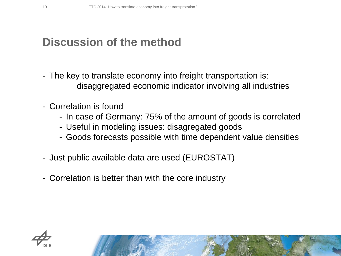### **Discussion of the method**

- The key to translate economy into freight transportation is: disaggregated economic indicator involving all industries
- Correlation is found
	- In case of Germany: 75% of the amount of goods is correlated
	- Useful in modeling issues: disagregated goods
	- Goods forecasts possible with time dependent value densities
- Just public available data are used (EUROSTAT)
- Correlation is better than with the core industry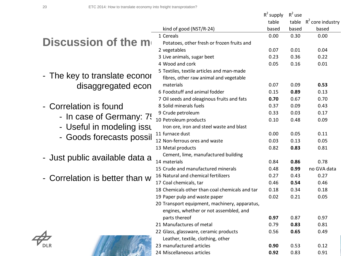**ANTICOLOGY AND STRATE** 

|                                |                                                                                         | $R^2$ supply | $R^2$ use    |                           |
|--------------------------------|-----------------------------------------------------------------------------------------|--------------|--------------|---------------------------|
|                                |                                                                                         | table        |              | table $R^2$ core industry |
|                                | kind of good (NST/R-24)                                                                 | based        | based        | based                     |
|                                | 1 Cereals                                                                               | 0.00         | 0.30         | 0.00                      |
| Discussion of the m            | Potatoes, other fresh or frozen fruits and                                              |              |              |                           |
|                                | 2 vegetables                                                                            | 0.07         | 0.01         | 0.04                      |
|                                | 3 Live animals, sugar beet                                                              | 0.23         | 0.36         | 0.22                      |
|                                | 4 Wood and cork                                                                         | 0.05         | 0.16         | 0.01                      |
|                                | 5 Textiles, textile articles and man-made                                               |              |              |                           |
| - The key to translate econor  | fibres, other raw animal and vegetable                                                  |              |              |                           |
| disaggregated econ             | materials                                                                               | 0.07         | 0.09         | 0.53                      |
|                                | 6 Foodstuff and animal fodder                                                           | 0.15         | 0.89         | 0.13                      |
|                                | 7 Oil seeds and oleaginous fruits and fats                                              | 0.70         | 0.67         | 0.70                      |
| Correlation is found           | 8 Solid minerals fuels                                                                  | 0.37         | 0.09         | 0.43                      |
| - In case of Germany: 7!       | 9 Crude petroleum                                                                       | 0.33         | 0.03         | 0.17                      |
|                                | 10 Petroleum products                                                                   | 0.10         | 0.48         | 0.09                      |
| - Useful in modeling issu      | Iron ore, iron and steel waste and blast                                                |              |              |                           |
| - Goods forecasts possil       | 11 furnace dust                                                                         | 0.00         | 0.05         | 0.11                      |
|                                | 12 Non-ferrous ores and waste                                                           | 0.03         | 0.13         | 0.05                      |
|                                | 13 Metal products                                                                       | 0.82         | 0.83         | 0.81                      |
| - Just public available data a | Cement, lime, manufactured building                                                     |              |              |                           |
|                                | 14 materials                                                                            | 0.84         | 0.86         | 0.78                      |
|                                | 15 Crude and manufactured minerals                                                      | 0.48         | 0.99         | no GVA data               |
| Correlation is better than w   | 16 Natural and chemical fertilizers                                                     | 0.27         | 0.43         | 0.27                      |
|                                | 17 Coal chemicals, tar                                                                  | 0.46         | 0.54         | 0.46                      |
|                                | 18 Chemicals other than coal chemicals and tar                                          | 0.18<br>0.02 | 0.34<br>0.21 | 0.18<br>0.05              |
|                                | 19 Paper pulp and waste paper                                                           |              |              |                           |
|                                | 20 Transport equipment, machinery, apparatus,<br>engines, whether or not assembled, and |              |              |                           |
|                                | parts thereof                                                                           | 0.97         | 0.87         | 0.97                      |
|                                | 21 Manufactures of metal                                                                | 0.79         | 0.83         | 0.81                      |
|                                | 22 Glass, glassware, ceramic products                                                   | 0.56         | 0.65         | 0.49                      |
|                                | Leather, textile, clothing, other                                                       |              |              |                           |
|                                | 23 manufactured articles                                                                | 0.90         | 0.53         | 0.12                      |
|                                | 24 Miscellaneous articles                                                               | 0.92         | 0.83         | 0.91                      |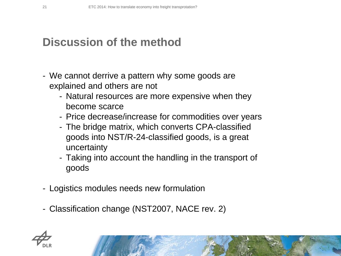## **Discussion of the method**

- We cannot derrive a pattern why some goods are explained and others are not
	- Natural resources are more expensive when they become scarce
	- Price decrease/increase for commodities over years
	- The bridge matrix, which converts CPA-classified goods into NST/R-24-classified goods, is a great uncertainty
	- Taking into account the handling in the transport of goods
- Logistics modules needs new formulation
- Classification change (NST2007, NACE rev. 2)

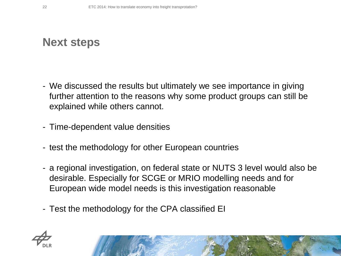### **Next steps**

- We discussed the results but ultimately we see importance in giving further attention to the reasons why some product groups can still be explained while others cannot.
- Time-dependent value densities
- test the methodology for other European countries
- a regional investigation, on federal state or NUTS 3 level would also be desirable. Especially for SCGE or MRIO modelling needs and for European wide model needs is this investigation reasonable
- Test the methodology for the CPA classified EI